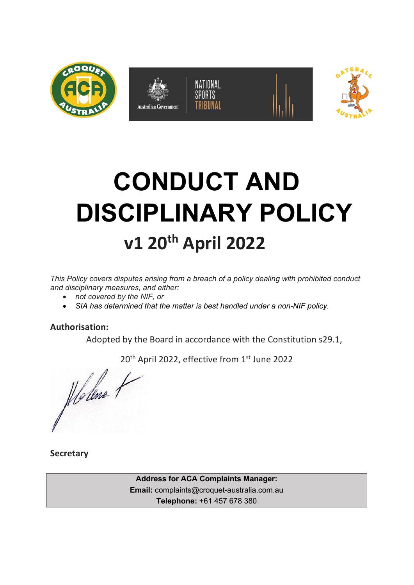

# **CONDUCT AND DISCIPLINARY POLICY v1 20th April 2022**

*This Policy covers disputes arising from a breach of a policy dealing with prohibited conduct and disciplinary measures, and either:*

- *not covered by the NIF, or*
- *SIA has determined that the matter is best handled under a non-NIF policy.*

# **Authorisation:**

Adopted by the Board in accordance with the Constitution s29.1,

20<sup>th</sup> April 2022, effective from 1st June 2022

Holene 1

**Secretary**

**Address for ACA Complaints Manager: Email:** complaints@croquet-australia.com.au **Telephone:** +61 457 678 380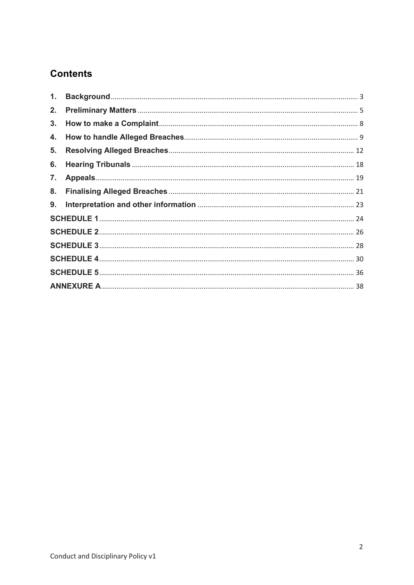# **Contents**

| 1. |  |  |  |  |
|----|--|--|--|--|
| 2. |  |  |  |  |
| 3. |  |  |  |  |
| 4. |  |  |  |  |
| 5. |  |  |  |  |
| 6. |  |  |  |  |
| 7. |  |  |  |  |
| 8. |  |  |  |  |
| 9. |  |  |  |  |
|    |  |  |  |  |
|    |  |  |  |  |
|    |  |  |  |  |
|    |  |  |  |  |
|    |  |  |  |  |
|    |  |  |  |  |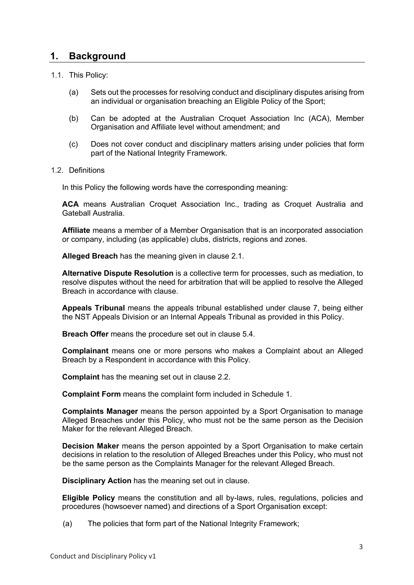# **1. Background**

## 1.1. This Policy:

- (a) Sets out the processes for resolving conduct and disciplinary disputes arising from an individual or organisation breaching an Eligible Policy of the Sport;
- (b) Can be adopted at the Australian Croquet Association Inc (ACA), Member Organisation and Affiliate level without amendment; and
- (c) Does not cover conduct and disciplinary matters arising under policies that form part of the National Integrity Framework.

## 1.2. Definitions

In this Policy the following words have the corresponding meaning:

**ACA** means Australian Croquet Association Inc., trading as Croquet Australia and Gateball Australia.

**Affiliate** means a member of a Member Organisation that is an incorporated association or company, including (as applicable) clubs, districts, regions and zones.

**Alleged Breach** has the meaning given in clause 2.1.

**Alternative Dispute Resolution** is a collective term for processes, such as mediation, to resolve disputes without the need for arbitration that will be applied to resolve the Alleged Breach in accordance with clause.

**Appeals Tribunal** means the appeals tribunal established under clause 7, being either the NST Appeals Division or an Internal Appeals Tribunal as provided in this Policy.

**Breach Offer** means the procedure set out in clause 5.4.

**Complainant** means one or more persons who makes a Complaint about an Alleged Breach by a Respondent in accordance with this Policy.

**Complaint** has the meaning set out in clause 2.2.

**Complaint Form** means the complaint form included in Schedule 1.

**Complaints Manager** means the person appointed by a Sport Organisation to manage Alleged Breaches under this Policy, who must not be the same person as the Decision Maker for the relevant Alleged Breach.

**Decision Maker** means the person appointed by a Sport Organisation to make certain decisions in relation to the resolution of Alleged Breaches under this Policy, who must not be the same person as the Complaints Manager for the relevant Alleged Breach.

**Disciplinary Action** has the meaning set out in clause.

**Eligible Policy** means the constitution and all by-laws, rules, regulations, policies and procedures (howsoever named) and directions of a Sport Organisation except:

(a) The policies that form part of the National Integrity Framework;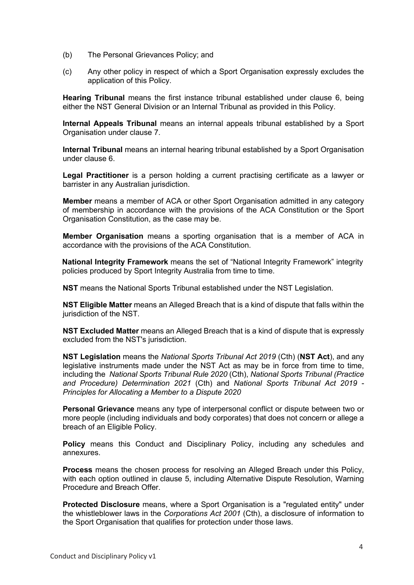- (b) The Personal Grievances Policy; and
- (c) Any other policy in respect of which a Sport Organisation expressly excludes the application of this Policy.

**Hearing Tribunal** means the first instance tribunal established under clause 6, being either the NST General Division or an Internal Tribunal as provided in this Policy.

**Internal Appeals Tribunal** means an internal appeals tribunal established by a Sport Organisation under clause 7.

**Internal Tribunal** means an internal hearing tribunal established by a Sport Organisation under clause 6.

**Legal Practitioner** is a person holding a current practising certificate as a lawyer or barrister in any Australian jurisdiction.

**Member** means a member of ACA or other Sport Organisation admitted in any category of membership in accordance with the provisions of the ACA Constitution or the Sport Organisation Constitution, as the case may be.

**Member Organisation** means a sporting organisation that is a member of ACA in accordance with the provisions of the ACA Constitution.

**National Integrity Framework** means the set of "National Integrity Framework" integrity policies produced by Sport Integrity Australia from time to time.

**NST** means the National Sports Tribunal established under the NST Legislation.

**NST Eligible Matter** means an Alleged Breach that is a kind of dispute that falls within the jurisdiction of the NST.

**NST Excluded Matter** means an Alleged Breach that is a kind of dispute that is expressly excluded from the NST's jurisdiction.

**NST Legislation** means the *National Sports Tribunal Act 2019* (Cth) (**NST Act**), and any legislative instruments made under the NST Act as may be in force from time to time, including the *National Sports Tribunal Rule 2020* (Cth), *National Sports Tribunal (Practice and Procedure) Determination 2021* (Cth) and *National Sports Tribunal Act 2019 - Principles for Allocating a Member to a Dispute 2020*

**Personal Grievance** means any type of interpersonal conflict or dispute between two or more people (including individuals and body corporates) that does not concern or allege a breach of an Eligible Policy.

**Policy** means this Conduct and Disciplinary Policy, including any schedules and annexures.

**Process** means the chosen process for resolving an Alleged Breach under this Policy, with each option outlined in clause 5, including Alternative Dispute Resolution, Warning Procedure and Breach Offer.

**Protected Disclosure** means, where a Sport Organisation is a "regulated entity" under the whistleblower laws in the *Corporations Act 2001* (Cth), a disclosure of information to the Sport Organisation that qualifies for protection under those laws.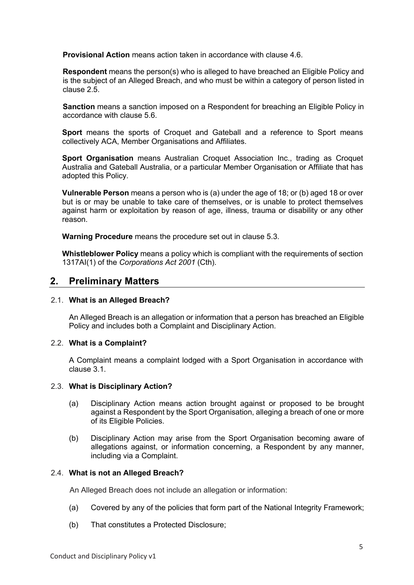**Provisional Action** means action taken in accordance with clause 4.6.

**Respondent** means the person(s) who is alleged to have breached an Eligible Policy and is the subject of an Alleged Breach, and who must be within a category of person listed in clause 2.5.

**Sanction** means a sanction imposed on a Respondent for breaching an Eligible Policy in accordance with clause 5.6.

**Sport** means the sports of Croquet and Gateball and a reference to Sport means collectively ACA, Member Organisations and Affiliates.

**Sport Organisation** means Australian Croquet Association Inc., trading as Croquet Australia and Gateball Australia, or a particular Member Organisation or Affiliate that has adopted this Policy.

**Vulnerable Person** means a person who is (a) under the age of 18; or (b) aged 18 or over but is or may be unable to take care of themselves, or is unable to protect themselves against harm or exploitation by reason of age, illness, trauma or disability or any other reason.

**Warning Procedure** means the procedure set out in clause 5.3.

**Whistleblower Policy** means a policy which is compliant with the requirements of section 1317AI(1) of the *Corporations Act 2001* (Cth).

## **2. Preliminary Matters**

#### 2.1. **What is an Alleged Breach?**

An Alleged Breach is an allegation or information that a person has breached an Eligible Policy and includes both a Complaint and Disciplinary Action.

#### 2.2. **What is a Complaint?**

A Complaint means a complaint lodged with a Sport Organisation in accordance with clause 3.1.

#### 2.3. **What is Disciplinary Action?**

- (a) Disciplinary Action means action brought against or proposed to be brought against a Respondent by the Sport Organisation, alleging a breach of one or more of its Eligible Policies.
- (b) Disciplinary Action may arise from the Sport Organisation becoming aware of allegations against, or information concerning, a Respondent by any manner, including via a Complaint.

#### 2.4. **What is not an Alleged Breach?**

An Alleged Breach does not include an allegation or information:

- (a) Covered by any of the policies that form part of the National Integrity Framework;
- (b) That constitutes a Protected Disclosure;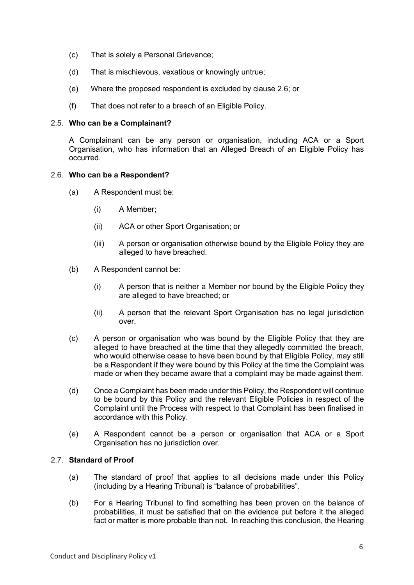- (c) That is solely a Personal Grievance;
- (d) That is mischievous, vexatious or knowingly untrue;
- (e) Where the proposed respondent is excluded by clause 2.6; or
- (f) That does not refer to a breach of an Eligible Policy.

#### 2.5. **Who can be a Complainant?**

A Complainant can be any person or organisation, including ACA or a Sport Organisation, who has information that an Alleged Breach of an Eligible Policy has occurred.

## 2.6. **Who can be a Respondent?**

- (a) A Respondent must be:
	- (i) A Member;
	- (ii) ACA or other Sport Organisation; or
	- (iii) A person or organisation otherwise bound by the Eligible Policy they are alleged to have breached.
- (b) A Respondent cannot be:
	- (i) A person that is neither a Member nor bound by the Eligible Policy they are alleged to have breached; or
	- (ii) A person that the relevant Sport Organisation has no legal jurisdiction over.
- (c) A person or organisation who was bound by the Eligible Policy that they are alleged to have breached at the time that they allegedly committed the breach, who would otherwise cease to have been bound by that Eligible Policy, may still be a Respondent if they were bound by this Policy at the time the Complaint was made or when they became aware that a complaint may be made against them.
- (d) Once a Complaint has been made under this Policy, the Respondent will continue to be bound by this Policy and the relevant Eligible Policies in respect of the Complaint until the Process with respect to that Complaint has been finalised in accordance with this Policy.
- (e) A Respondent cannot be a person or organisation that ACA or a Sport Organisation has no jurisdiction over.

## 2.7. **Standard of Proof**

- (a) The standard of proof that applies to all decisions made under this Policy (including by a Hearing Tribunal) is "balance of probabilities".
- (b) For a Hearing Tribunal to find something has been proven on the balance of probabilities, it must be satisfied that on the evidence put before it the alleged fact or matter is more probable than not. In reaching this conclusion, the Hearing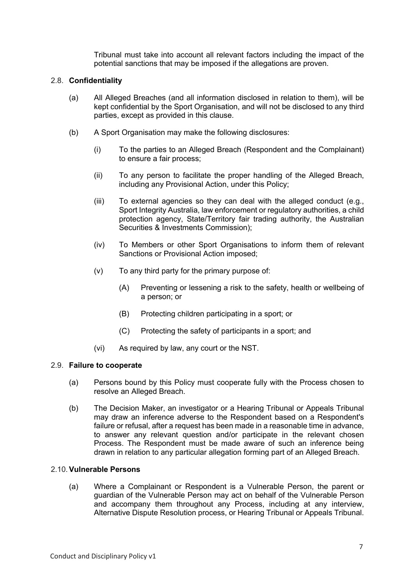Tribunal must take into account all relevant factors including the impact of the potential sanctions that may be imposed if the allegations are proven.

## 2.8. **Confidentiality**

- (a) All Alleged Breaches (and all information disclosed in relation to them), will be kept confidential by the Sport Organisation, and will not be disclosed to any third parties, except as provided in this clause.
- (b) A Sport Organisation may make the following disclosures:
	- (i) To the parties to an Alleged Breach (Respondent and the Complainant) to ensure a fair process;
	- (ii) To any person to facilitate the proper handling of the Alleged Breach, including any Provisional Action, under this Policy;
	- (iii) To external agencies so they can deal with the alleged conduct (e.g., Sport Integrity Australia, law enforcement or regulatory authorities, a child protection agency, State/Territory fair trading authority, the Australian Securities & Investments Commission);
	- (iv) To Members or other Sport Organisations to inform them of relevant Sanctions or Provisional Action imposed;
	- (v) To any third party for the primary purpose of:
		- (A) Preventing or lessening a risk to the safety, health or wellbeing of a person; or
		- (B) Protecting children participating in a sport; or
		- (C) Protecting the safety of participants in a sport; and
	- (vi) As required by law, any court or the NST.

#### 2.9. **Failure to cooperate**

- (a) Persons bound by this Policy must cooperate fully with the Process chosen to resolve an Alleged Breach.
- (b) The Decision Maker, an investigator or a Hearing Tribunal or Appeals Tribunal may draw an inference adverse to the Respondent based on a Respondent's failure or refusal, after a request has been made in a reasonable time in advance, to answer any relevant question and/or participate in the relevant chosen Process. The Respondent must be made aware of such an inference being drawn in relation to any particular allegation forming part of an Alleged Breach.

## 2.10.**Vulnerable Persons**

(a) Where a Complainant or Respondent is a Vulnerable Person, the parent or guardian of the Vulnerable Person may act on behalf of the Vulnerable Person and accompany them throughout any Process, including at any interview, Alternative Dispute Resolution process, or Hearing Tribunal or Appeals Tribunal.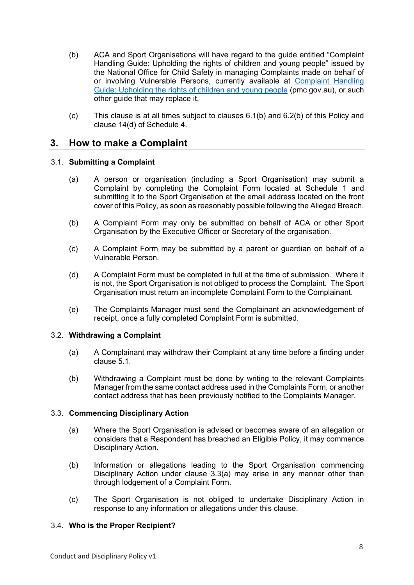- (b) ACA and Sport Organisations will have regard to the guide entitled "Complaint Handling Guide: Upholding the rights of children and young people" issued by the National Office for Child Safety in managing Complaints made on behalf of or involving Vulnerable Persons, currently available at Complaint Handling Guide: Upholding the rights of children and young people (pmc.gov.au), or such other guide that may replace it.
- (c) This clause is at all times subject to clauses 6.1(b) and 6.2(b) of this Policy and clause 14(d) of Schedule 4.

## **3. How to make a Complaint**

## 3.1. **Submitting a Complaint**

- (a) A person or organisation (including a Sport Organisation) may submit a Complaint by completing the Complaint Form located at Schedule 1 and submitting it to the Sport Organisation at the email address located on the front cover of this Policy, as soon as reasonably possible following the Alleged Breach.
- (b) A Complaint Form may only be submitted on behalf of ACA or other Sport Organisation by the Executive Officer or Secretary of the organisation.
- (c) A Complaint Form may be submitted by a parent or guardian on behalf of a Vulnerable Person.
- (d) A Complaint Form must be completed in full at the time of submission. Where it is not, the Sport Organisation is not obliged to process the Complaint. The Sport Organisation must return an incomplete Complaint Form to the Complainant.
- (e) The Complaints Manager must send the Complainant an acknowledgement of receipt, once a fully completed Complaint Form is submitted.

## 3.2. **Withdrawing a Complaint**

- (a) A Complainant may withdraw their Complaint at any time before a finding under clause 5.1.
- (b) Withdrawing a Complaint must be done by writing to the relevant Complaints Manager from the same contact address used in the Complaints Form, or another contact address that has been previously notified to the Complaints Manager.

## 3.3. **Commencing Disciplinary Action**

- (a) Where the Sport Organisation is advised or becomes aware of an allegation or considers that a Respondent has breached an Eligible Policy, it may commence Disciplinary Action.
- (b) Information or allegations leading to the Sport Organisation commencing Disciplinary Action under clause 3.3(a) may arise in any manner other than through lodgement of a Complaint Form.
- (c) The Sport Organisation is not obliged to undertake Disciplinary Action in response to any information or allegations under this clause.

## 3.4. **Who is the Proper Recipient?**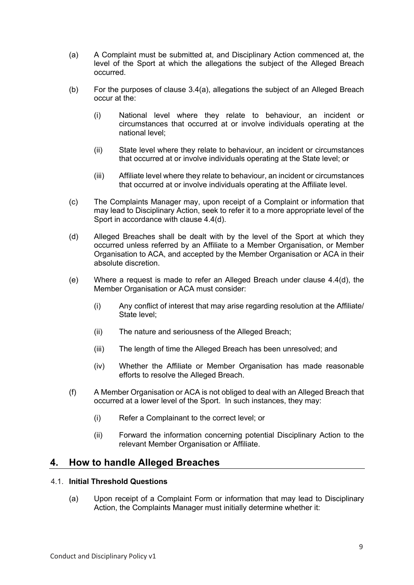- (a) A Complaint must be submitted at, and Disciplinary Action commenced at, the level of the Sport at which the allegations the subject of the Alleged Breach occurred.
- (b) For the purposes of clause 3.4(a), allegations the subject of an Alleged Breach occur at the:
	- (i) National level where they relate to behaviour, an incident or circumstances that occurred at or involve individuals operating at the national level;
	- (ii) State level where they relate to behaviour, an incident or circumstances that occurred at or involve individuals operating at the State level; or
	- (iii) Affiliate level where they relate to behaviour, an incident or circumstances that occurred at or involve individuals operating at the Affiliate level.
- (c) The Complaints Manager may, upon receipt of a Complaint or information that may lead to Disciplinary Action, seek to refer it to a more appropriate level of the Sport in accordance with clause 4.4(d).
- (d) Alleged Breaches shall be dealt with by the level of the Sport at which they occurred unless referred by an Affiliate to a Member Organisation, or Member Organisation to ACA, and accepted by the Member Organisation or ACA in their absolute discretion.
- (e) Where a request is made to refer an Alleged Breach under clause 4.4(d), the Member Organisation or ACA must consider:
	- (i) Any conflict of interest that may arise regarding resolution at the Affiliate/ State level;
	- (ii) The nature and seriousness of the Alleged Breach;
	- (iii) The length of time the Alleged Breach has been unresolved; and
	- (iv) Whether the Affiliate or Member Organisation has made reasonable efforts to resolve the Alleged Breach.
- (f) A Member Organisation or ACA is not obliged to deal with an Alleged Breach that occurred at a lower level of the Sport. In such instances, they may:
	- (i) Refer a Complainant to the correct level; or
	- (ii) Forward the information concerning potential Disciplinary Action to the relevant Member Organisation or Affiliate.

## **4. How to handle Alleged Breaches**

## 4.1. **Initial Threshold Questions**

(a) Upon receipt of a Complaint Form or information that may lead to Disciplinary Action, the Complaints Manager must initially determine whether it: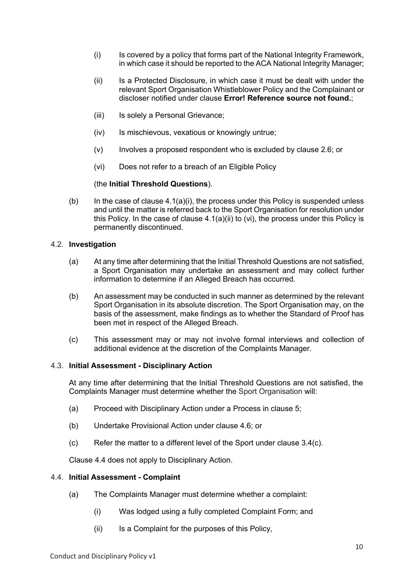- (i) Is covered by a policy that forms part of the National Integrity Framework, in which case it should be reported to the ACA National Integrity Manager;
- (ii) Is a Protected Disclosure, in which case it must be dealt with under the relevant Sport Organisation Whistleblower Policy and the Complainant or discloser notified under clause **Error! Reference source not found.**;
- (iii) Is solely a Personal Grievance;
- (iv) Is mischievous, vexatious or knowingly untrue;
- (v) Involves a proposed respondent who is excluded by clause 2.6; or
- (vi) Does not refer to a breach of an Eligible Policy

#### (the **Initial Threshold Questions**).

(b) In the case of clause  $4.1(a)(i)$ , the process under this Policy is suspended unless and until the matter is referred back to the Sport Organisation for resolution under this Policy. In the case of clause  $4.1(a)(ii)$  to (vi), the process under this Policy is permanently discontinued.

#### 4.2. **Investigation**

- (a) At any time after determining that the Initial Threshold Questions are not satisfied, a Sport Organisation may undertake an assessment and may collect further information to determine if an Alleged Breach has occurred.
- (b) An assessment may be conducted in such manner as determined by the relevant Sport Organisation in its absolute discretion. The Sport Organisation may, on the basis of the assessment, make findings as to whether the Standard of Proof has been met in respect of the Alleged Breach.
- (c) This assessment may or may not involve formal interviews and collection of additional evidence at the discretion of the Complaints Manager.

#### 4.3. **Initial Assessment - Disciplinary Action**

At any time after determining that the Initial Threshold Questions are not satisfied, the Complaints Manager must determine whether the Sport Organisation will:

- (a) Proceed with Disciplinary Action under a Process in clause 5;
- (b) Undertake Provisional Action under clause 4.6; or
- $\text{(c)}$  Refer the matter to a different level of the Sport under clause 3.4(c).

Clause 4.4 does not apply to Disciplinary Action.

#### 4.4. **Initial Assessment - Complaint**

- (a) The Complaints Manager must determine whether a complaint:
	- (i) Was lodged using a fully completed Complaint Form; and
	- (ii) Is a Complaint for the purposes of this Policy,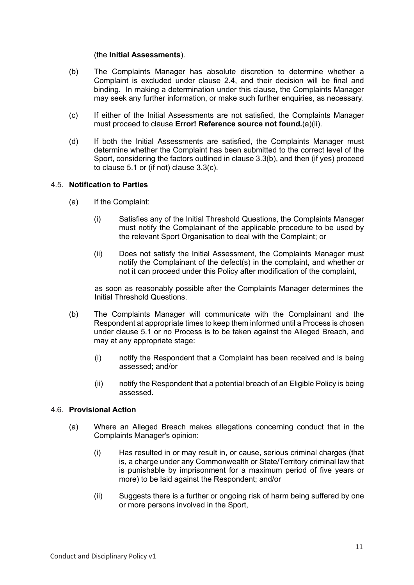#### (the **Initial Assessments**).

- (b) The Complaints Manager has absolute discretion to determine whether a Complaint is excluded under clause 2.4, and their decision will be final and binding. In making a determination under this clause, the Complaints Manager may seek any further information, or make such further enquiries, as necessary.
- (c) If either of the Initial Assessments are not satisfied, the Complaints Manager must proceed to clause **Error! Reference source not found.**(a)(ii).
- (d) If both the Initial Assessments are satisfied, the Complaints Manager must determine whether the Complaint has been submitted to the correct level of the Sport, considering the factors outlined in clause 3.3(b), and then (if yes) proceed to clause 5.1 or (if not) clause 3.3(c).

## 4.5. **Notification to Parties**

- (a) If the Complaint:
	- (i) Satisfies any of the Initial Threshold Questions, the Complaints Manager must notify the Complainant of the applicable procedure to be used by the relevant Sport Organisation to deal with the Complaint; or
	- (ii) Does not satisfy the Initial Assessment, the Complaints Manager must notify the Complainant of the defect(s) in the complaint, and whether or not it can proceed under this Policy after modification of the complaint,

as soon as reasonably possible after the Complaints Manager determines the Initial Threshold Questions.

- (b) The Complaints Manager will communicate with the Complainant and the Respondent at appropriate times to keep them informed until a Process is chosen under clause 5.1 or no Process is to be taken against the Alleged Breach, and may at any appropriate stage:
	- (i) notify the Respondent that a Complaint has been received and is being assessed; and/or
	- (ii) notify the Respondent that a potential breach of an Eligible Policy is being assessed.

## 4.6. **Provisional Action**

- (a) Where an Alleged Breach makes allegations concerning conduct that in the Complaints Manager's opinion:
	- (i) Has resulted in or may result in, or cause, serious criminal charges (that is, a charge under any Commonwealth or State/Territory criminal law that is punishable by imprisonment for a maximum period of five years or more) to be laid against the Respondent; and/or
	- (ii) Suggests there is a further or ongoing risk of harm being suffered by one or more persons involved in the Sport,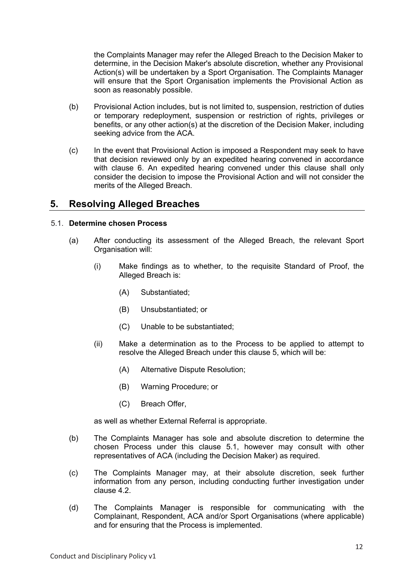the Complaints Manager may refer the Alleged Breach to the Decision Maker to determine, in the Decision Maker's absolute discretion, whether any Provisional Action(s) will be undertaken by a Sport Organisation. The Complaints Manager will ensure that the Sport Organisation implements the Provisional Action as soon as reasonably possible.

- (b) Provisional Action includes, but is not limited to, suspension, restriction of duties or temporary redeployment, suspension or restriction of rights, privileges or benefits, or any other action(s) at the discretion of the Decision Maker, including seeking advice from the ACA.
- (c) In the event that Provisional Action is imposed a Respondent may seek to have that decision reviewed only by an expedited hearing convened in accordance with clause 6. An expedited hearing convened under this clause shall only consider the decision to impose the Provisional Action and will not consider the merits of the Alleged Breach.

# **5. Resolving Alleged Breaches**

## 5.1. **Determine chosen Process**

- (a) After conducting its assessment of the Alleged Breach, the relevant Sport Organisation will:
	- (i) Make findings as to whether, to the requisite Standard of Proof, the Alleged Breach is:
		- (A) Substantiated;
		- (B) Unsubstantiated; or
		- (C) Unable to be substantiated;
	- (ii) Make a determination as to the Process to be applied to attempt to resolve the Alleged Breach under this clause 5, which will be:
		- (A) Alternative Dispute Resolution;
		- (B) Warning Procedure; or
		- (C) Breach Offer,

as well as whether External Referral is appropriate.

- (b) The Complaints Manager has sole and absolute discretion to determine the chosen Process under this clause 5.1, however may consult with other representatives of ACA (including the Decision Maker) as required.
- (c) The Complaints Manager may, at their absolute discretion, seek further information from any person, including conducting further investigation under clause 4.2.
- (d) The Complaints Manager is responsible for communicating with the Complainant, Respondent, ACA and/or Sport Organisations (where applicable) and for ensuring that the Process is implemented.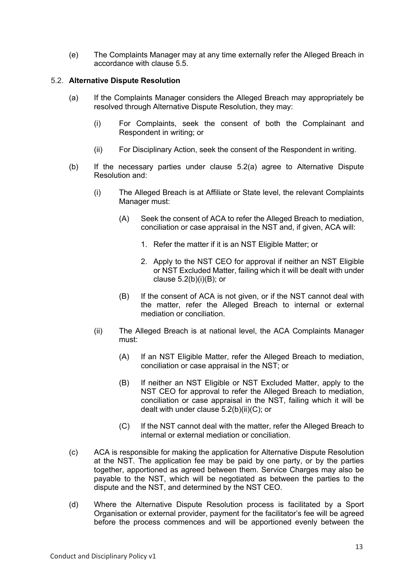(e) The Complaints Manager may at any time externally refer the Alleged Breach in accordance with clause 5.5.

## 5.2. **Alternative Dispute Resolution**

- (a) If the Complaints Manager considers the Alleged Breach may appropriately be resolved through Alternative Dispute Resolution, they may:
	- (i) For Complaints, seek the consent of both the Complainant and Respondent in writing; or
	- (ii) For Disciplinary Action, seek the consent of the Respondent in writing.
- (b) If the necessary parties under clause 5.2(a) agree to Alternative Dispute Resolution and:
	- (i) The Alleged Breach is at Affiliate or State level, the relevant Complaints Manager must:
		- (A) Seek the consent of ACA to refer the Alleged Breach to mediation, conciliation or case appraisal in the NST and, if given, ACA will:
			- 1. Refer the matter if it is an NST Eligible Matter; or
			- 2. Apply to the NST CEO for approval if neither an NST Eligible or NST Excluded Matter, failing which it will be dealt with under clause  $5.2(b)(i)(B)$ ; or
		- (B) If the consent of ACA is not given, or if the NST cannot deal with the matter, refer the Alleged Breach to internal or external mediation or conciliation.
	- (ii) The Alleged Breach is at national level, the ACA Complaints Manager must:
		- (A) If an NST Eligible Matter, refer the Alleged Breach to mediation, conciliation or case appraisal in the NST; or
		- (B) If neither an NST Eligible or NST Excluded Matter, apply to the NST CEO for approval to refer the Alleged Breach to mediation, conciliation or case appraisal in the NST, failing which it will be dealt with under clause 5.2(b)(ii)(C); or
		- (C) If the NST cannot deal with the matter, refer the Alleged Breach to internal or external mediation or conciliation.
- (c) ACA is responsible for making the application for Alternative Dispute Resolution at the NST. The application fee may be paid by one party, or by the parties together, apportioned as agreed between them. Service Charges may also be payable to the NST, which will be negotiated as between the parties to the dispute and the NST, and determined by the NST CEO.
- (d) Where the Alternative Dispute Resolution process is facilitated by a Sport Organisation or external provider, payment for the facilitator's fee will be agreed before the process commences and will be apportioned evenly between the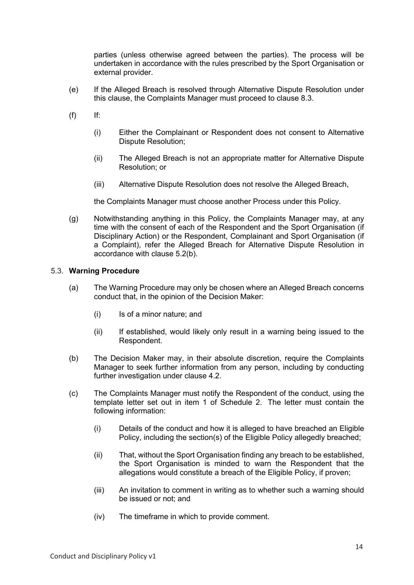parties (unless otherwise agreed between the parties). The process will be undertaken in accordance with the rules prescribed by the Sport Organisation or external provider.

- (e) If the Alleged Breach is resolved through Alternative Dispute Resolution under this clause, the Complaints Manager must proceed to clause 8.3.
- $(f)$  If:
	- (i) Either the Complainant or Respondent does not consent to Alternative Dispute Resolution;
	- (ii) The Alleged Breach is not an appropriate matter for Alternative Dispute Resolution; or
	- (iii) Alternative Dispute Resolution does not resolve the Alleged Breach,

the Complaints Manager must choose another Process under this Policy.

(g) Notwithstanding anything in this Policy, the Complaints Manager may, at any time with the consent of each of the Respondent and the Sport Organisation (if Disciplinary Action) or the Respondent, Complainant and Sport Organisation (if a Complaint), refer the Alleged Breach for Alternative Dispute Resolution in accordance with clause 5.2(b).

## 5.3. **Warning Procedure**

- (a) The Warning Procedure may only be chosen where an Alleged Breach concerns conduct that, in the opinion of the Decision Maker:
	- (i) Is of a minor nature; and
	- (ii) If established, would likely only result in a warning being issued to the Respondent.
- (b) The Decision Maker may, in their absolute discretion, require the Complaints Manager to seek further information from any person, including by conducting further investigation under clause 4.2.
- (c) The Complaints Manager must notify the Respondent of the conduct, using the template letter set out in item 1 of Schedule 2. The letter must contain the following information:
	- (i) Details of the conduct and how it is alleged to have breached an Eligible Policy, including the section(s) of the Eligible Policy allegedly breached;
	- (ii) That, without the Sport Organisation finding any breach to be established, the Sport Organisation is minded to warn the Respondent that the allegations would constitute a breach of the Eligible Policy, if proven;
	- (iii) An invitation to comment in writing as to whether such a warning should be issued or not; and
	- (iv) The timeframe in which to provide comment.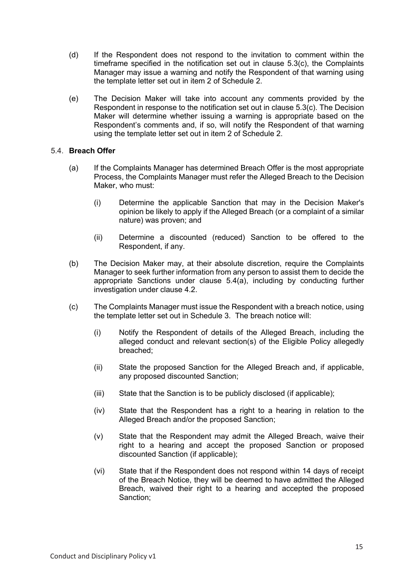- (d) If the Respondent does not respond to the invitation to comment within the timeframe specified in the notification set out in clause 5.3(c), the Complaints Manager may issue a warning and notify the Respondent of that warning using the template letter set out in item 2 of Schedule 2.
- (e) The Decision Maker will take into account any comments provided by the Respondent in response to the notification set out in clause 5.3(c). The Decision Maker will determine whether issuing a warning is appropriate based on the Respondent's comments and, if so, will notify the Respondent of that warning using the template letter set out in item 2 of Schedule 2.

## 5.4. **Breach Offer**

- (a) If the Complaints Manager has determined Breach Offer is the most appropriate Process, the Complaints Manager must refer the Alleged Breach to the Decision Maker, who must:
	- (i) Determine the applicable Sanction that may in the Decision Maker's opinion be likely to apply if the Alleged Breach (or a complaint of a similar nature) was proven; and
	- (ii) Determine a discounted (reduced) Sanction to be offered to the Respondent, if any.
- (b) The Decision Maker may, at their absolute discretion, require the Complaints Manager to seek further information from any person to assist them to decide the appropriate Sanctions under clause 5.4(a), including by conducting further investigation under clause 4.2.
- (c) The Complaints Manager must issue the Respondent with a breach notice, using the template letter set out in Schedule 3. The breach notice will:
	- (i) Notify the Respondent of details of the Alleged Breach, including the alleged conduct and relevant section(s) of the Eligible Policy allegedly breached;
	- (ii) State the proposed Sanction for the Alleged Breach and, if applicable, any proposed discounted Sanction;
	- (iii) State that the Sanction is to be publicly disclosed (if applicable);
	- (iv) State that the Respondent has a right to a hearing in relation to the Alleged Breach and/or the proposed Sanction;
	- (v) State that the Respondent may admit the Alleged Breach, waive their right to a hearing and accept the proposed Sanction or proposed discounted Sanction (if applicable);
	- (vi) State that if the Respondent does not respond within 14 days of receipt of the Breach Notice, they will be deemed to have admitted the Alleged Breach, waived their right to a hearing and accepted the proposed Sanction;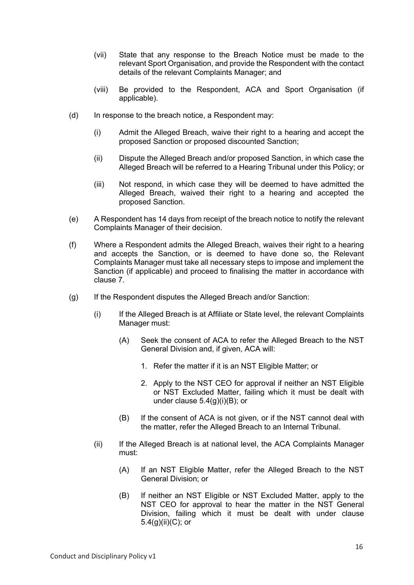- (vii) State that any response to the Breach Notice must be made to the relevant Sport Organisation, and provide the Respondent with the contact details of the relevant Complaints Manager; and
- (viii) Be provided to the Respondent, ACA and Sport Organisation (if applicable).
- (d) In response to the breach notice, a Respondent may:
	- (i) Admit the Alleged Breach, waive their right to a hearing and accept the proposed Sanction or proposed discounted Sanction;
	- (ii) Dispute the Alleged Breach and/or proposed Sanction, in which case the Alleged Breach will be referred to a Hearing Tribunal under this Policy; or
	- (iii) Not respond, in which case they will be deemed to have admitted the Alleged Breach, waived their right to a hearing and accepted the proposed Sanction.
- (e) A Respondent has 14 days from receipt of the breach notice to notify the relevant Complaints Manager of their decision.
- (f) Where a Respondent admits the Alleged Breach, waives their right to a hearing and accepts the Sanction, or is deemed to have done so, the Relevant Complaints Manager must take all necessary steps to impose and implement the Sanction (if applicable) and proceed to finalising the matter in accordance with clause 7.
- (g) If the Respondent disputes the Alleged Breach and/or Sanction:
	- (i) If the Alleged Breach is at Affiliate or State level, the relevant Complaints Manager must:
		- (A) Seek the consent of ACA to refer the Alleged Breach to the NST General Division and, if given, ACA will:
			- 1. Refer the matter if it is an NST Eligible Matter; or
			- 2. Apply to the NST CEO for approval if neither an NST Eligible or NST Excluded Matter, failing which it must be dealt with under clause 5.4(g)(i)(B); or
		- (B) If the consent of ACA is not given, or if the NST cannot deal with the matter, refer the Alleged Breach to an Internal Tribunal.
	- (ii) If the Alleged Breach is at national level, the ACA Complaints Manager must:
		- (A) If an NST Eligible Matter, refer the Alleged Breach to the NST General Division; or
		- (B) If neither an NST Eligible or NST Excluded Matter, apply to the NST CEO for approval to hear the matter in the NST General Division, failing which it must be dealt with under clause 5.4(g)(ii)(C); or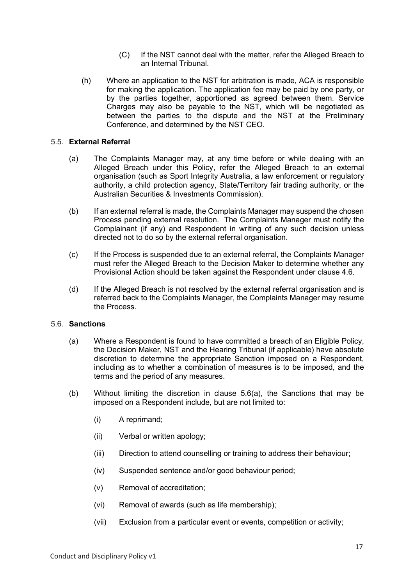- (C) If the NST cannot deal with the matter, refer the Alleged Breach to an Internal Tribunal.
- (h) Where an application to the NST for arbitration is made, ACA is responsible for making the application. The application fee may be paid by one party, or by the parties together, apportioned as agreed between them. Service Charges may also be payable to the NST, which will be negotiated as between the parties to the dispute and the NST at the Preliminary Conference, and determined by the NST CEO.

## 5.5. **External Referral**

- (a) The Complaints Manager may, at any time before or while dealing with an Alleged Breach under this Policy, refer the Alleged Breach to an external organisation (such as Sport Integrity Australia, a law enforcement or regulatory authority, a child protection agency, State/Territory fair trading authority, or the Australian Securities & Investments Commission).
- (b) If an external referral is made, the Complaints Manager may suspend the chosen Process pending external resolution. The Complaints Manager must notify the Complainant (if any) and Respondent in writing of any such decision unless directed not to do so by the external referral organisation.
- (c) If the Process is suspended due to an external referral, the Complaints Manager must refer the Alleged Breach to the Decision Maker to determine whether any Provisional Action should be taken against the Respondent under clause 4.6.
- (d) If the Alleged Breach is not resolved by the external referral organisation and is referred back to the Complaints Manager, the Complaints Manager may resume the Process.

## 5.6. **Sanctions**

- (a) Where a Respondent is found to have committed a breach of an Eligible Policy, the Decision Maker, NST and the Hearing Tribunal (if applicable) have absolute discretion to determine the appropriate Sanction imposed on a Respondent, including as to whether a combination of measures is to be imposed, and the terms and the period of any measures.
- (b) Without limiting the discretion in clause 5.6(a), the Sanctions that may be imposed on a Respondent include, but are not limited to:
	- (i) A reprimand;
	- (ii) Verbal or written apology;
	- (iii) Direction to attend counselling or training to address their behaviour;
	- (iv) Suspended sentence and/or good behaviour period;
	- (v) Removal of accreditation;
	- (vi) Removal of awards (such as life membership);
	- (vii) Exclusion from a particular event or events, competition or activity;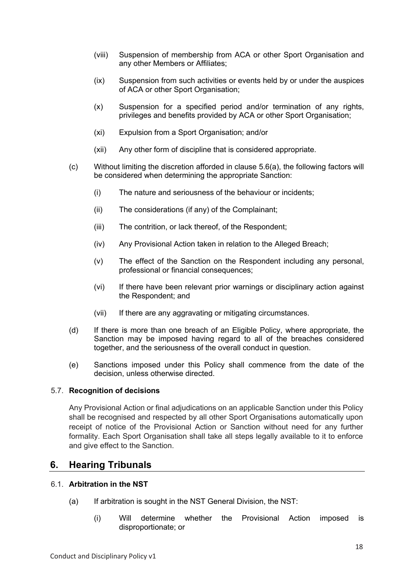- (viii) Suspension of membership from ACA or other Sport Organisation and any other Members or Affiliates;
- (ix) Suspension from such activities or events held by or under the auspices of ACA or other Sport Organisation;
- (x) Suspension for a specified period and/or termination of any rights, privileges and benefits provided by ACA or other Sport Organisation;
- (xi) Expulsion from a Sport Organisation; and/or
- (xii) Any other form of discipline that is considered appropriate.
- (c) Without limiting the discretion afforded in clause 5.6(a), the following factors will be considered when determining the appropriate Sanction:
	- (i) The nature and seriousness of the behaviour or incidents;
	- (ii) The considerations (if any) of the Complainant;
	- (iii) The contrition, or lack thereof, of the Respondent;
	- (iv) Any Provisional Action taken in relation to the Alleged Breach;
	- (v) The effect of the Sanction on the Respondent including any personal, professional or financial consequences;
	- (vi) If there have been relevant prior warnings or disciplinary action against the Respondent; and
	- (vii) If there are any aggravating or mitigating circumstances.
- (d) If there is more than one breach of an Eligible Policy, where appropriate, the Sanction may be imposed having regard to all of the breaches considered together, and the seriousness of the overall conduct in question.
- (e) Sanctions imposed under this Policy shall commence from the date of the decision, unless otherwise directed.

#### 5.7. **Recognition of decisions**

Any Provisional Action or final adjudications on an applicable Sanction under this Policy shall be recognised and respected by all other Sport Organisations automatically upon receipt of notice of the Provisional Action or Sanction without need for any further formality. Each Sport Organisation shall take all steps legally available to it to enforce and give effect to the Sanction.

## **6. Hearing Tribunals**

## 6.1. **Arbitration in the NST**

- (a) If arbitration is sought in the NST General Division, the NST:
	- (i) Will determine whether the Provisional Action imposed is disproportionate; or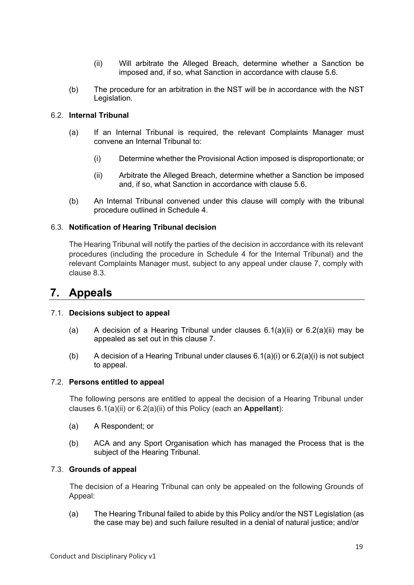- (ii) Will arbitrate the Alleged Breach, determine whether a Sanction be imposed and, if so, what Sanction in accordance with clause 5.6.
- (b) The procedure for an arbitration in the NST will be in accordance with the NST Legislation.

## 6.2. **Internal Tribunal**

- (a) If an Internal Tribunal is required, the relevant Complaints Manager must convene an Internal Tribunal to:
	- (i) Determine whether the Provisional Action imposed is disproportionate; or
	- (ii) Arbitrate the Alleged Breach, determine whether a Sanction be imposed and, if so, what Sanction in accordance with clause 5.6.
- (b) An Internal Tribunal convened under this clause will comply with the tribunal procedure outlined in Schedule 4.

## 6.3. **Notification of Hearing Tribunal decision**

The Hearing Tribunal will notify the parties of the decision in accordance with its relevant procedures (including the procedure in Schedule 4 for the Internal Tribunal) and the relevant Complaints Manager must, subject to any appeal under clause 7, comply with clause 8.3.

# **7. Appeals**

#### 7.1. **Decisions subject to appeal**

- (a) A decision of a Hearing Tribunal under clauses  $6.1(a)(ii)$  or  $6.2(a)(ii)$  may be appealed as set out in this clause 7.
- (b) A decision of a Hearing Tribunal under clauses  $6.1(a)(i)$  or  $6.2(a)(i)$  is not subject to appeal.

#### 7.2. **Persons entitled to appeal**

The following persons are entitled to appeal the decision of a Hearing Tribunal under clauses 6.1(a)(ii) or 6.2(a)(ii) of this Policy (each an **Appellant**):

- (a) A Respondent; or
- (b) ACA and any Sport Organisation which has managed the Process that is the subject of the Hearing Tribunal.

#### 7.3. **Grounds of appeal**

The decision of a Hearing Tribunal can only be appealed on the following Grounds of Appeal:

(a) The Hearing Tribunal failed to abide by this Policy and/or the NST Legislation (as the case may be) and such failure resulted in a denial of natural justice; and/or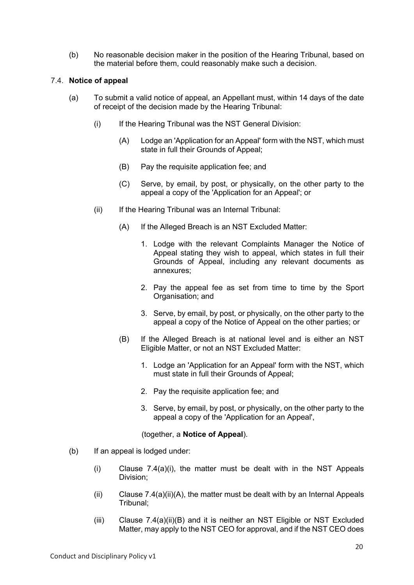(b) No reasonable decision maker in the position of the Hearing Tribunal, based on the material before them, could reasonably make such a decision.

## 7.4. **Notice of appeal**

- (a) To submit a valid notice of appeal, an Appellant must, within 14 days of the date of receipt of the decision made by the Hearing Tribunal:
	- (i) If the Hearing Tribunal was the NST General Division:
		- (A) Lodge an 'Application for an Appeal' form with the NST, which must state in full their Grounds of Appeal;
		- (B) Pay the requisite application fee; and
		- (C) Serve, by email, by post, or physically, on the other party to the appeal a copy of the 'Application for an Appeal'; or
	- (ii) If the Hearing Tribunal was an Internal Tribunal:
		- (A) If the Alleged Breach is an NST Excluded Matter:
			- 1. Lodge with the relevant Complaints Manager the Notice of Appeal stating they wish to appeal, which states in full their Grounds of Appeal, including any relevant documents as annexures;
			- 2. Pay the appeal fee as set from time to time by the Sport Organisation; and
			- 3. Serve, by email, by post, or physically, on the other party to the appeal a copy of the Notice of Appeal on the other parties; or
		- (B) If the Alleged Breach is at national level and is either an NST Eligible Matter, or not an NST Excluded Matter:
			- 1. Lodge an 'Application for an Appeal' form with the NST, which must state in full their Grounds of Appeal;
			- 2. Pay the requisite application fee; and
			- 3. Serve, by email, by post, or physically, on the other party to the appeal a copy of the 'Application for an Appeal',

(together, a **Notice of Appeal**).

- (b) If an appeal is lodged under:
	- (i) Clause 7.4(a)(i), the matter must be dealt with in the NST Appeals Division;
	- (ii) Clause  $7.4(a)(ii)(A)$ , the matter must be dealt with by an Internal Appeals Tribunal;
	- $(iii)$  Clause 7.4(a) $(ii)(B)$  and it is neither an NST Eligible or NST Excluded Matter, may apply to the NST CEO for approval, and if the NST CEO does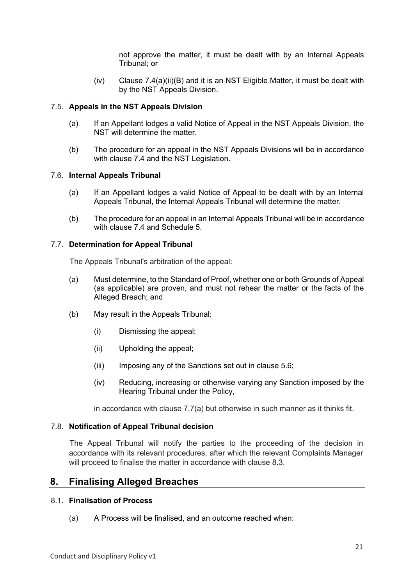not approve the matter, it must be dealt with by an Internal Appeals Tribunal; or

(iv) Clause 7.4(a)(ii)(B) and it is an NST Eligible Matter, it must be dealt with by the NST Appeals Division.

## 7.5. **Appeals in the NST Appeals Division**

- (a) If an Appellant lodges a valid Notice of Appeal in the NST Appeals Division, the NST will determine the matter.
- (b) The procedure for an appeal in the NST Appeals Divisions will be in accordance with clause 7.4 and the NST Legislation.

#### 7.6. **Internal Appeals Tribunal**

- (a) If an Appellant lodges a valid Notice of Appeal to be dealt with by an Internal Appeals Tribunal, the Internal Appeals Tribunal will determine the matter.
- (b) The procedure for an appeal in an Internal Appeals Tribunal will be in accordance with clause 7.4 and Schedule 5.

## 7.7. **Determination for Appeal Tribunal**

The Appeals Tribunal's arbitration of the appeal:

- (a) Must determine, to the Standard of Proof, whether one or both Grounds of Appeal (as applicable) are proven, and must not rehear the matter or the facts of the Alleged Breach; and
- (b) May result in the Appeals Tribunal:
	- (i) Dismissing the appeal;
	- (ii) Upholding the appeal;
	- (iii) Imposing any of the Sanctions set out in clause 5.6;
	- (iv) Reducing, increasing or otherwise varying any Sanction imposed by the Hearing Tribunal under the Policy,

in accordance with clause 7.7(a) but otherwise in such manner as it thinks fit.

#### 7.8. **Notification of Appeal Tribunal decision**

The Appeal Tribunal will notify the parties to the proceeding of the decision in accordance with its relevant procedures, after which the relevant Complaints Manager will proceed to finalise the matter in accordance with clause 8.3.

## **8. Finalising Alleged Breaches**

#### 8.1. **Finalisation of Process**

(a) A Process will be finalised, and an outcome reached when: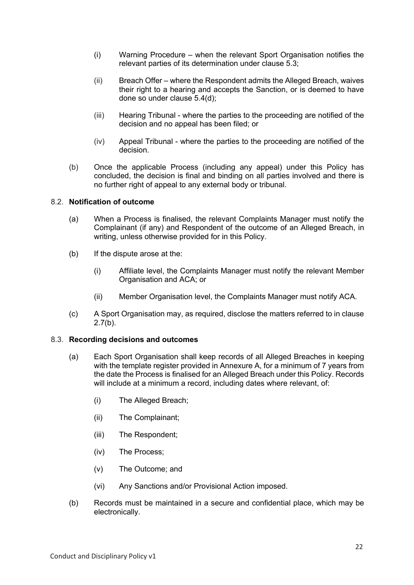- (i) Warning Procedure when the relevant Sport Organisation notifies the relevant parties of its determination under clause 5.3;
- (ii) Breach Offer where the Respondent admits the Alleged Breach, waives their right to a hearing and accepts the Sanction, or is deemed to have done so under clause 5.4(d);
- (iii) Hearing Tribunal where the parties to the proceeding are notified of the decision and no appeal has been filed; or
- (iv) Appeal Tribunal where the parties to the proceeding are notified of the decision.
- (b) Once the applicable Process (including any appeal) under this Policy has concluded, the decision is final and binding on all parties involved and there is no further right of appeal to any external body or tribunal.

## 8.2. **Notification of outcome**

- (a) When a Process is finalised, the relevant Complaints Manager must notify the Complainant (if any) and Respondent of the outcome of an Alleged Breach, in writing, unless otherwise provided for in this Policy.
- (b) If the dispute arose at the:
	- (i) Affiliate level, the Complaints Manager must notify the relevant Member Organisation and ACA; or
	- (ii) Member Organisation level, the Complaints Manager must notify ACA.
- (c) A Sport Organisation may, as required, disclose the matters referred to in clause  $2.7(b)$ .

#### 8.3. **Recording decisions and outcomes**

- (a) Each Sport Organisation shall keep records of all Alleged Breaches in keeping with the template register provided in Annexure A, for a minimum of 7 years from the date the Process is finalised for an Alleged Breach under this Policy. Records will include at a minimum a record, including dates where relevant, of:
	- (i) The Alleged Breach;
	- (ii) The Complainant;
	- (iii) The Respondent;
	- (iv) The Process;
	- (v) The Outcome; and
	- (vi) Any Sanctions and/or Provisional Action imposed.
- (b) Records must be maintained in a secure and confidential place, which may be electronically.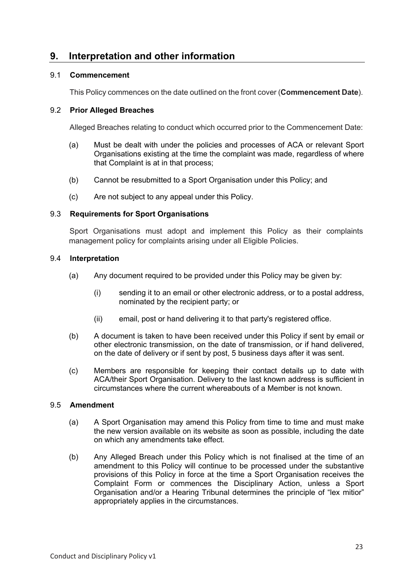# **9. Interpretation and other information**

## 9.1 **Commencement**

This Policy commences on the date outlined on the front cover (**Commencement Date**).

## 9.2 **Prior Alleged Breaches**

Alleged Breaches relating to conduct which occurred prior to the Commencement Date:

- (a) Must be dealt with under the policies and processes of ACA or relevant Sport Organisations existing at the time the complaint was made, regardless of where that Complaint is at in that process;
- (b) Cannot be resubmitted to a Sport Organisation under this Policy; and
- (c) Are not subject to any appeal under this Policy.

## 9.3 **Requirements for Sport Organisations**

Sport Organisations must adopt and implement this Policy as their complaints management policy for complaints arising under all Eligible Policies.

## 9.4 **Interpretation**

- (a) Any document required to be provided under this Policy may be given by:
	- (i) sending it to an email or other electronic address, or to a postal address, nominated by the recipient party; or
	- (ii) email, post or hand delivering it to that party's registered office.
- (b) A document is taken to have been received under this Policy if sent by email or other electronic transmission, on the date of transmission, or if hand delivered, on the date of delivery or if sent by post, 5 business days after it was sent.
- (c) Members are responsible for keeping their contact details up to date with ACA/their Sport Organisation. Delivery to the last known address is sufficient in circumstances where the current whereabouts of a Member is not known.

## 9.5 **Amendment**

- (a) A Sport Organisation may amend this Policy from time to time and must make the new version available on its website as soon as possible, including the date on which any amendments take effect.
- (b) Any Alleged Breach under this Policy which is not finalised at the time of an amendment to this Policy will continue to be processed under the substantive provisions of this Policy in force at the time a Sport Organisation receives the Complaint Form or commences the Disciplinary Action, unless a Sport Organisation and/or a Hearing Tribunal determines the principle of "lex mitior" appropriately applies in the circumstances.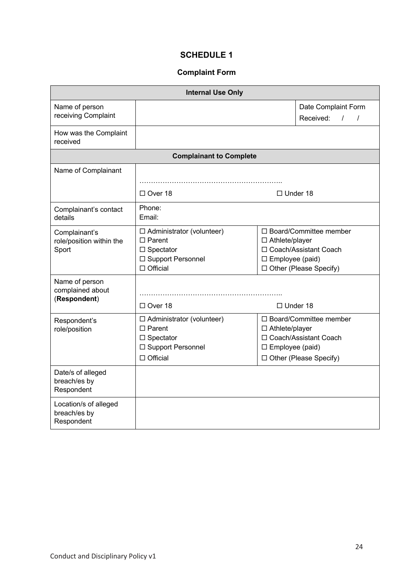## **SCHEDULE 1**

## **Complaint Form**

| <b>Internal Use Only</b>                            |                                                                                                                 |                                                                                                                                       |                                                        |  |  |  |  |
|-----------------------------------------------------|-----------------------------------------------------------------------------------------------------------------|---------------------------------------------------------------------------------------------------------------------------------------|--------------------------------------------------------|--|--|--|--|
| Name of person                                      |                                                                                                                 |                                                                                                                                       | Date Complaint Form                                    |  |  |  |  |
| receiving Complaint                                 |                                                                                                                 |                                                                                                                                       | Received:<br>$\frac{1}{2}$<br>$\overline{\phantom{a}}$ |  |  |  |  |
| How was the Complaint<br>received                   |                                                                                                                 |                                                                                                                                       |                                                        |  |  |  |  |
| <b>Complainant to Complete</b>                      |                                                                                                                 |                                                                                                                                       |                                                        |  |  |  |  |
| Name of Complainant                                 |                                                                                                                 |                                                                                                                                       |                                                        |  |  |  |  |
|                                                     |                                                                                                                 |                                                                                                                                       |                                                        |  |  |  |  |
|                                                     | $\Box$ Over 18                                                                                                  | $\Box$ Under 18                                                                                                                       |                                                        |  |  |  |  |
| Complainant's contact<br>details                    | Phone:<br>Email:                                                                                                |                                                                                                                                       |                                                        |  |  |  |  |
| Complainant's<br>role/position within the<br>Sport  | $\Box$ Administrator (volunteer)<br>$\Box$ Parent<br>$\Box$ Spectator<br>□ Support Personnel<br>$\Box$ Official | □ Board/Committee member<br>$\Box$ Athlete/player<br>□ Coach/Assistant Coach<br>$\square$ Employee (paid)<br>□ Other (Please Specify) |                                                        |  |  |  |  |
| Name of person<br>complained about<br>(Respondent)  | $\Box$ Over 18                                                                                                  | $\Box$ Under 18                                                                                                                       |                                                        |  |  |  |  |
| Respondent's<br>role/position                       | $\Box$ Administrator (volunteer)<br>$\Box$ Parent<br>$\Box$ Spectator<br>□ Support Personnel<br>$\Box$ Official | □ Board/Committee member<br>□ Athlete/player<br>□ Coach/Assistant Coach<br>$\square$ Employee (paid)<br>□ Other (Please Specify)      |                                                        |  |  |  |  |
| Date/s of alleged<br>breach/es by<br>Respondent     |                                                                                                                 |                                                                                                                                       |                                                        |  |  |  |  |
| Location/s of alleged<br>breach/es by<br>Respondent |                                                                                                                 |                                                                                                                                       |                                                        |  |  |  |  |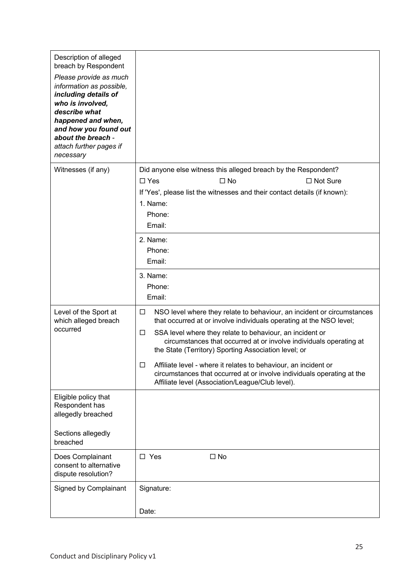| Description of alleged<br>breach by Respondent<br>Please provide as much<br>information as possible,<br>including details of<br>who is involved,<br>describe what<br>happened and when,<br>and how you found out<br>about the breach -<br>attach further pages if<br>necessary |                                                                                                                                                                                                    |
|--------------------------------------------------------------------------------------------------------------------------------------------------------------------------------------------------------------------------------------------------------------------------------|----------------------------------------------------------------------------------------------------------------------------------------------------------------------------------------------------|
| Witnesses (if any)                                                                                                                                                                                                                                                             | Did anyone else witness this alleged breach by the Respondent?                                                                                                                                     |
|                                                                                                                                                                                                                                                                                | $\Box$ Yes<br>$\Box$ No<br>□ Not Sure                                                                                                                                                              |
|                                                                                                                                                                                                                                                                                | If 'Yes', please list the witnesses and their contact details (if known):                                                                                                                          |
|                                                                                                                                                                                                                                                                                | 1. Name:<br>Phone:                                                                                                                                                                                 |
|                                                                                                                                                                                                                                                                                | Email:                                                                                                                                                                                             |
|                                                                                                                                                                                                                                                                                | 2. Name:                                                                                                                                                                                           |
|                                                                                                                                                                                                                                                                                | Phone:                                                                                                                                                                                             |
|                                                                                                                                                                                                                                                                                | Email:                                                                                                                                                                                             |
|                                                                                                                                                                                                                                                                                | 3. Name:                                                                                                                                                                                           |
|                                                                                                                                                                                                                                                                                | Phone:                                                                                                                                                                                             |
|                                                                                                                                                                                                                                                                                | Email:                                                                                                                                                                                             |
| Level of the Sport at<br>which alleged breach                                                                                                                                                                                                                                  | NSO level where they relate to behaviour, an incident or circumstances<br>□<br>that occurred at or involve individuals operating at the NSO level;                                                 |
| occurred                                                                                                                                                                                                                                                                       | SSA level where they relate to behaviour, an incident or<br>□<br>circumstances that occurred at or involve individuals operating at<br>the State (Territory) Sporting Association level; or        |
|                                                                                                                                                                                                                                                                                | Affiliate level - where it relates to behaviour, an incident or<br>□<br>circumstances that occurred at or involve individuals operating at the<br>Affiliate level (Association/League/Club level). |
| Eligible policy that<br>Respondent has<br>allegedly breached                                                                                                                                                                                                                   |                                                                                                                                                                                                    |
| Sections allegedly<br>breached                                                                                                                                                                                                                                                 |                                                                                                                                                                                                    |
| Does Complainant<br>consent to alternative<br>dispute resolution?                                                                                                                                                                                                              | $\square$ No<br>$\square$ Yes                                                                                                                                                                      |
| Signed by Complainant                                                                                                                                                                                                                                                          | Signature:                                                                                                                                                                                         |
|                                                                                                                                                                                                                                                                                | Date:                                                                                                                                                                                              |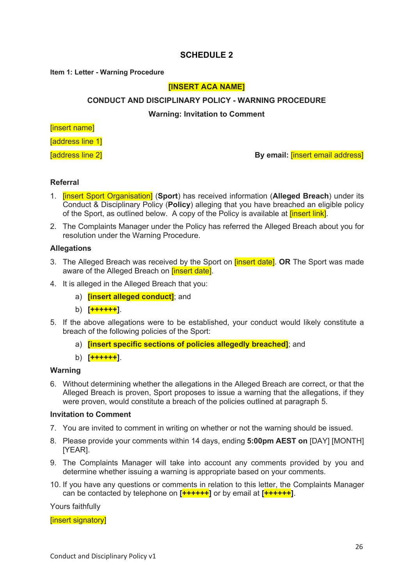## **SCHEDULE 2**

#### **Item 1: Letter - Warning Procedure**

## **[INSERT ACA NAME]**

## **CONDUCT AND DISCIPLINARY POLICY - WARNING PROCEDURE**

**Warning: Invitation to Comment**

## [insert name]

[address line 1]

[address line 2] **By email:** [insert email address]

## **Referral**

- 1. [insert Sport Organisation] (**Sport**) has received information (**Alleged Breach**) under its Conduct & Disciplinary Policy (**Policy**) alleging that you have breached an eligible policy of the Sport, as outlined below. A copy of the Policy is available at *linsert link*.
- 2. The Complaints Manager under the Policy has referred the Alleged Breach about you for resolution under the Warning Procedure.

## **Allegations**

- 3. The Alleged Breach was received by the Sport on [insert date]. **OR** The Sport was made aware of the Alleged Breach on *[insert date]*.
- 4. It is alleged in the Alleged Breach that you:
	- a) **[insert alleged conduct]**; and
	- b) **[++++++]**.
- 5. If the above allegations were to be established, your conduct would likely constitute a breach of the following policies of the Sport:
	- a) **[insert specific sections of policies allegedly breached]**; and
	- b) **[++++++]**.

#### **Warning**

6. Without determining whether the allegations in the Alleged Breach are correct, or that the Alleged Breach is proven, Sport proposes to issue a warning that the allegations, if they were proven, would constitute a breach of the policies outlined at paragraph 5.

#### **Invitation to Comment**

- 7. You are invited to comment in writing on whether or not the warning should be issued.
- 8. Please provide your comments within 14 days, ending **5:00pm AEST on** [DAY] [MONTH] [YEAR].
- 9. The Complaints Manager will take into account any comments provided by you and determine whether issuing a warning is appropriate based on your comments.
- 10. If you have any questions or comments in relation to this letter, the Complaints Manager can be contacted by telephone on **[++++++]** or by email at **[++++++]**.

Yours faithfully

[insert signatory]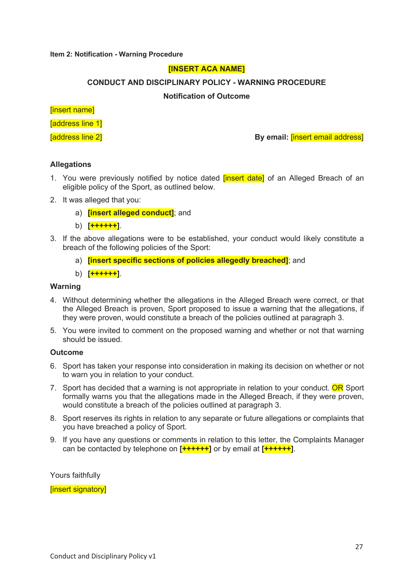#### **Item 2: Notification - Warning Procedure**

## **[INSERT ACA NAME]**

## **CONDUCT AND DISCIPLINARY POLICY - WARNING PROCEDURE**

## **Notification of Outcome**

## [insert name]

[address line 1]

[address line 2] **By email:** [insert email address]

## **Allegations**

- 1. You were previously notified by notice dated *[insert date]* of an Alleged Breach of an eligible policy of the Sport, as outlined below.
- 2. It was alleged that you:
	- a) **[insert alleged conduct]**; and
	- b) **[++++++]**.
- 3. If the above allegations were to be established, your conduct would likely constitute a breach of the following policies of the Sport:
	- a) **[insert specific sections of policies allegedly breached]**; and
	- b) **[++++++]**.

#### **Warning**

- 4. Without determining whether the allegations in the Alleged Breach were correct, or that the Alleged Breach is proven, Sport proposed to issue a warning that the allegations, if they were proven, would constitute a breach of the policies outlined at paragraph 3.
- 5. You were invited to comment on the proposed warning and whether or not that warning should be issued.

#### **Outcome**

- 6. Sport has taken your response into consideration in making its decision on whether or not to warn you in relation to your conduct.
- 7. Sport has decided that a warning is not appropriate in relation to your conduct. OR Sport formally warns you that the allegations made in the Alleged Breach, if they were proven, would constitute a breach of the policies outlined at paragraph 3.
- 8. Sport reserves its rights in relation to any separate or future allegations or complaints that you have breached a policy of Sport.
- 9. If you have any questions or comments in relation to this letter, the Complaints Manager can be contacted by telephone on **[++++++]** or by email at **[++++++]**.

Yours faithfully

[insert signatory]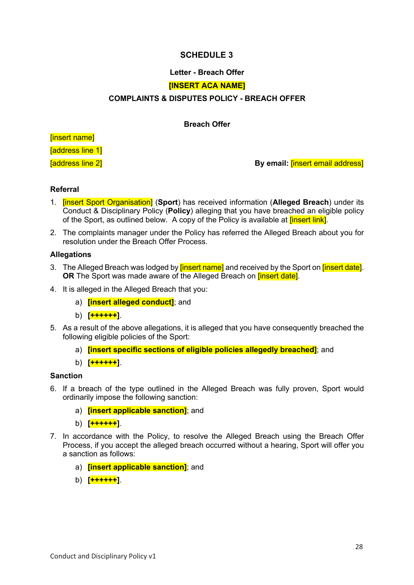## **SCHEDULE 3**

## **Letter - Breach Offer**

## **[INSERT ACA NAME]**

## **COMPLAINTS & DISPUTES POLICY - BREACH OFFER**

## **Breach Offer**

[insert name]

[address line 1]

[address line 2] **By email:** [insert email address]

## **Referral**

- 1. [insert Sport Organisation] (**Sport**) has received information (**Alleged Breach**) under its Conduct & Disciplinary Policy (**Policy**) alleging that you have breached an eligible policy of the Sport, as outlined below. A copy of the Policy is available at *finsert link*.
- 2. The complaints manager under the Policy has referred the Alleged Breach about you for resolution under the Breach Offer Process.

## **Allegations**

- 3. The Alleged Breach was lodged by **[insert name]** and received by the Sport on **[insert date]**. **OR** The Sport was made aware of the Alleged Breach on **linsert datel.**
- 4. It is alleged in the Alleged Breach that you:
	- a) **[insert alleged conduct]**; and
	- b) **[++++++]**.
- 5. As a result of the above allegations, it is alleged that you have consequently breached the following eligible policies of the Sport:
	- a) **[insert specific sections of eligible policies allegedly breached]**; and
	- b) **[++++++]**.

#### **Sanction**

- 6. If a breach of the type outlined in the Alleged Breach was fully proven, Sport would ordinarily impose the following sanction:
	- a) **[insert applicable sanction]**; and
	- b) **[++++++]**.
- 7. In accordance with the Policy, to resolve the Alleged Breach using the Breach Offer Process, if you accept the alleged breach occurred without a hearing, Sport will offer you a sanction as follows:
	- a) **[insert applicable sanction]**; and
	- b) **[++++++]**.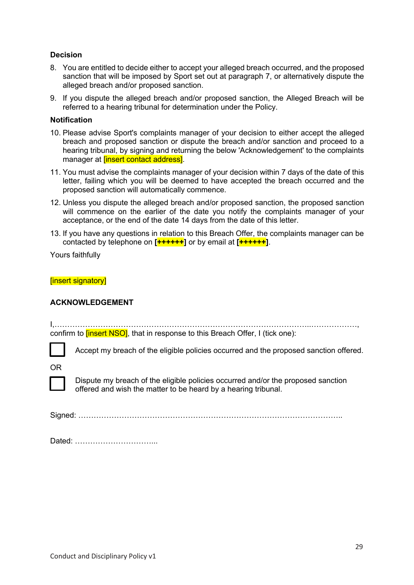## **Decision**

- 8. You are entitled to decide either to accept your alleged breach occurred, and the proposed sanction that will be imposed by Sport set out at paragraph 7, or alternatively dispute the alleged breach and/or proposed sanction.
- 9. If you dispute the alleged breach and/or proposed sanction, the Alleged Breach will be referred to a hearing tribunal for determination under the Policy.

## **Notification**

- 10. Please advise Sport's complaints manager of your decision to either accept the alleged breach and proposed sanction or dispute the breach and/or sanction and proceed to a hearing tribunal, by signing and returning the below 'Acknowledgement' to the complaints manager at **[insert contact address]**.
- 11. You must advise the complaints manager of your decision within 7 days of the date of this letter, failing which you will be deemed to have accepted the breach occurred and the proposed sanction will automatically commence.
- 12. Unless you dispute the alleged breach and/or proposed sanction, the proposed sanction will commence on the earlier of the date you notify the complaints manager of your acceptance, or the end of the date 14 days from the date of this letter.
- 13. If you have any questions in relation to this Breach Offer, the complaints manager can be contacted by telephone on **[++++++]** or by email at **[++++++]**.

Yours faithfully

[insert signatory]

## **ACKNOWLEDGEMENT**

I,………………………………………………………………………………………..………………, confirm to **[insert NSO]**, that in response to this Breach Offer, I (tick one):

Accept my breach of the eligible policies occurred and the proposed sanction offered.

OR



Dispute my breach of the eligible policies occurred and/or the proposed sanction offered and wish the matter to be heard by a hearing tribunal.

Signed: …………………………………………………………………………………………..

Dated: …………………………...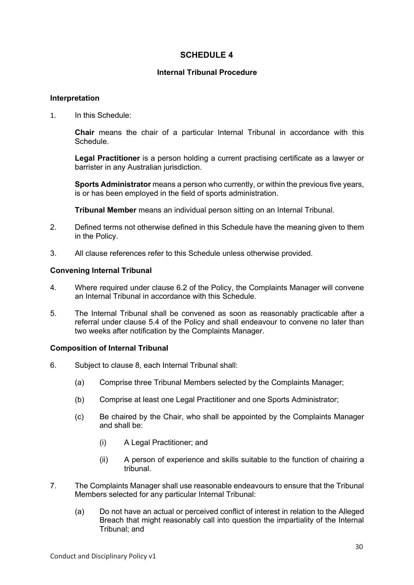## **SCHEDULE 4**

## **Internal Tribunal Procedure**

#### **Interpretation**

1. In this Schedule:

**Chair** means the chair of a particular Internal Tribunal in accordance with this Schedule.

**Legal Practitioner** is a person holding a current practising certificate as a lawyer or barrister in any Australian jurisdiction.

**Sports Administrator** means a person who currently, or within the previous five years, is or has been employed in the field of sports administration.

**Tribunal Member** means an individual person sitting on an Internal Tribunal.

- 2. Defined terms not otherwise defined in this Schedule have the meaning given to them in the Policy.
- 3. All clause references refer to this Schedule unless otherwise provided.

## **Convening Internal Tribunal**

- 4. Where required under clause 6.2 of the Policy, the Complaints Manager will convene an Internal Tribunal in accordance with this Schedule.
- 5. The Internal Tribunal shall be convened as soon as reasonably practicable after a referral under clause 5.4 of the Policy and shall endeavour to convene no later than two weeks after notification by the Complaints Manager.

#### **Composition of Internal Tribunal**

- 6. Subject to clause 8, each Internal Tribunal shall:
	- (a) Comprise three Tribunal Members selected by the Complaints Manager;
	- (b) Comprise at least one Legal Practitioner and one Sports Administrator;
	- (c) Be chaired by the Chair, who shall be appointed by the Complaints Manager and shall be:
		- (i) A Legal Practitioner; and
		- (ii) A person of experience and skills suitable to the function of chairing a tribunal.
- 7. The Complaints Manager shall use reasonable endeavours to ensure that the Tribunal Members selected for any particular Internal Tribunal:
	- (a) Do not have an actual or perceived conflict of interest in relation to the Alleged Breach that might reasonably call into question the impartiality of the Internal Tribunal; and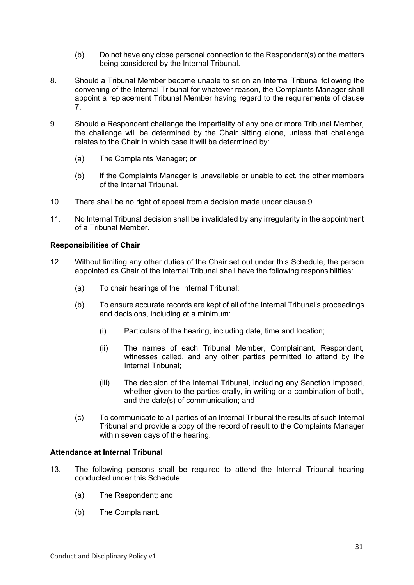- (b) Do not have any close personal connection to the Respondent(s) or the matters being considered by the Internal Tribunal.
- 8. Should a Tribunal Member become unable to sit on an Internal Tribunal following the convening of the Internal Tribunal for whatever reason, the Complaints Manager shall appoint a replacement Tribunal Member having regard to the requirements of clause 7.
- 9. Should a Respondent challenge the impartiality of any one or more Tribunal Member, the challenge will be determined by the Chair sitting alone, unless that challenge relates to the Chair in which case it will be determined by:
	- (a) The Complaints Manager; or
	- (b) If the Complaints Manager is unavailable or unable to act, the other members of the Internal Tribunal.
- 10. There shall be no right of appeal from a decision made under clause 9.
- 11. No Internal Tribunal decision shall be invalidated by any irregularity in the appointment of a Tribunal Member.

## **Responsibilities of Chair**

- 12. Without limiting any other duties of the Chair set out under this Schedule, the person appointed as Chair of the Internal Tribunal shall have the following responsibilities:
	- (a) To chair hearings of the Internal Tribunal;
	- (b) To ensure accurate records are kept of all of the Internal Tribunal's proceedings and decisions, including at a minimum:
		- (i) Particulars of the hearing, including date, time and location;
		- (ii) The names of each Tribunal Member, Complainant, Respondent, witnesses called, and any other parties permitted to attend by the Internal Tribunal;
		- (iii) The decision of the Internal Tribunal, including any Sanction imposed, whether given to the parties orally, in writing or a combination of both, and the date(s) of communication; and
	- (c) To communicate to all parties of an Internal Tribunal the results of such Internal Tribunal and provide a copy of the record of result to the Complaints Manager within seven days of the hearing.

## **Attendance at Internal Tribunal**

- 13. The following persons shall be required to attend the Internal Tribunal hearing conducted under this Schedule:
	- (a) The Respondent; and
	- (b) The Complainant.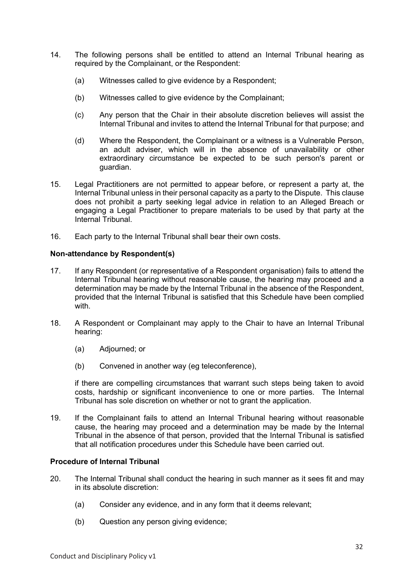- 14. The following persons shall be entitled to attend an Internal Tribunal hearing as required by the Complainant, or the Respondent:
	- (a) Witnesses called to give evidence by a Respondent;
	- (b) Witnesses called to give evidence by the Complainant;
	- (c) Any person that the Chair in their absolute discretion believes will assist the Internal Tribunal and invites to attend the Internal Tribunal for that purpose; and
	- (d) Where the Respondent, the Complainant or a witness is a Vulnerable Person, an adult adviser, which will in the absence of unavailability or other extraordinary circumstance be expected to be such person's parent or guardian.
- 15. Legal Practitioners are not permitted to appear before, or represent a party at, the Internal Tribunal unless in their personal capacity as a party to the Dispute. This clause does not prohibit a party seeking legal advice in relation to an Alleged Breach or engaging a Legal Practitioner to prepare materials to be used by that party at the Internal Tribunal.
- 16. Each party to the Internal Tribunal shall bear their own costs.

## **Non-attendance by Respondent(s)**

- 17. If any Respondent (or representative of a Respondent organisation) fails to attend the Internal Tribunal hearing without reasonable cause, the hearing may proceed and a determination may be made by the Internal Tribunal in the absence of the Respondent, provided that the Internal Tribunal is satisfied that this Schedule have been complied with.
- 18. A Respondent or Complainant may apply to the Chair to have an Internal Tribunal hearing:
	- (a) Adjourned; or
	- (b) Convened in another way (eg teleconference),

if there are compelling circumstances that warrant such steps being taken to avoid costs, hardship or significant inconvenience to one or more parties. The Internal Tribunal has sole discretion on whether or not to grant the application.

19. If the Complainant fails to attend an Internal Tribunal hearing without reasonable cause, the hearing may proceed and a determination may be made by the Internal Tribunal in the absence of that person, provided that the Internal Tribunal is satisfied that all notification procedures under this Schedule have been carried out.

## **Procedure of Internal Tribunal**

- 20. The Internal Tribunal shall conduct the hearing in such manner as it sees fit and may in its absolute discretion:
	- (a) Consider any evidence, and in any form that it deems relevant;
	- (b) Question any person giving evidence;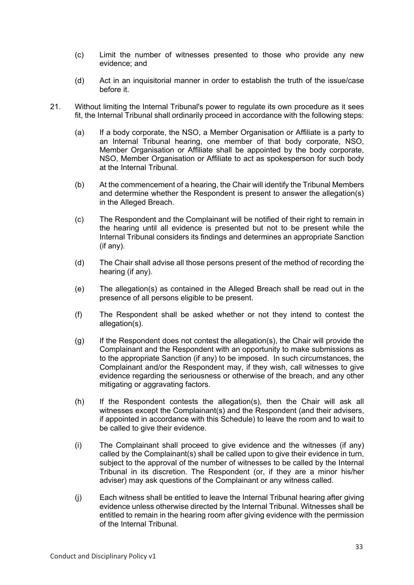- (c) Limit the number of witnesses presented to those who provide any new evidence; and
- (d) Act in an inquisitorial manner in order to establish the truth of the issue/case before it.
- 21. Without limiting the Internal Tribunal's power to regulate its own procedure as it sees fit, the Internal Tribunal shall ordinarily proceed in accordance with the following steps:
	- (a) If a body corporate, the NSO, a Member Organisation or Affiliate is a party to an Internal Tribunal hearing, one member of that body corporate, NSO, Member Organisation or Affiliate shall be appointed by the body corporate, NSO, Member Organisation or Affiliate to act as spokesperson for such body at the Internal Tribunal.
	- (b) At the commencement of a hearing, the Chair will identify the Tribunal Members and determine whether the Respondent is present to answer the allegation(s) in the Alleged Breach.
	- (c) The Respondent and the Complainant will be notified of their right to remain in the hearing until all evidence is presented but not to be present while the Internal Tribunal considers its findings and determines an appropriate Sanction (if any).
	- (d) The Chair shall advise all those persons present of the method of recording the hearing (if any).
	- (e) The allegation(s) as contained in the Alleged Breach shall be read out in the presence of all persons eligible to be present.
	- (f) The Respondent shall be asked whether or not they intend to contest the allegation(s).
	- (g) If the Respondent does not contest the allegation(s), the Chair will provide the Complainant and the Respondent with an opportunity to make submissions as to the appropriate Sanction (if any) to be imposed. In such circumstances, the Complainant and/or the Respondent may, if they wish, call witnesses to give evidence regarding the seriousness or otherwise of the breach, and any other mitigating or aggravating factors.
	- (h) If the Respondent contests the allegation(s), then the Chair will ask all witnesses except the Complainant(s) and the Respondent (and their advisers, if appointed in accordance with this Schedule) to leave the room and to wait to be called to give their evidence.
	- (i) The Complainant shall proceed to give evidence and the witnesses (if any) called by the Complainant(s) shall be called upon to give their evidence in turn, subject to the approval of the number of witnesses to be called by the Internal Tribunal in its discretion. The Respondent (or, if they are a minor his/her adviser) may ask questions of the Complainant or any witness called.
	- (j) Each witness shall be entitled to leave the Internal Tribunal hearing after giving evidence unless otherwise directed by the Internal Tribunal. Witnesses shall be entitled to remain in the hearing room after giving evidence with the permission of the Internal Tribunal.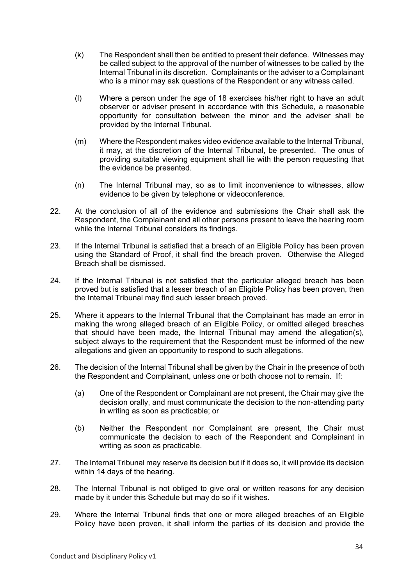- (k) The Respondent shall then be entitled to present their defence. Witnesses may be called subject to the approval of the number of witnesses to be called by the Internal Tribunal in its discretion. Complainants or the adviser to a Complainant who is a minor may ask questions of the Respondent or any witness called.
- (l) Where a person under the age of 18 exercises his/her right to have an adult observer or adviser present in accordance with this Schedule, a reasonable opportunity for consultation between the minor and the adviser shall be provided by the Internal Tribunal.
- (m) Where the Respondent makes video evidence available to the Internal Tribunal, it may, at the discretion of the Internal Tribunal, be presented. The onus of providing suitable viewing equipment shall lie with the person requesting that the evidence be presented.
- (n) The Internal Tribunal may, so as to limit inconvenience to witnesses, allow evidence to be given by telephone or videoconference.
- 22. At the conclusion of all of the evidence and submissions the Chair shall ask the Respondent, the Complainant and all other persons present to leave the hearing room while the Internal Tribunal considers its findings.
- 23. If the Internal Tribunal is satisfied that a breach of an Eligible Policy has been proven using the Standard of Proof, it shall find the breach proven. Otherwise the Alleged Breach shall be dismissed.
- 24. If the Internal Tribunal is not satisfied that the particular alleged breach has been proved but is satisfied that a lesser breach of an Eligible Policy has been proven, then the Internal Tribunal may find such lesser breach proved.
- 25. Where it appears to the Internal Tribunal that the Complainant has made an error in making the wrong alleged breach of an Eligible Policy, or omitted alleged breaches that should have been made, the Internal Tribunal may amend the allegation(s), subject always to the requirement that the Respondent must be informed of the new allegations and given an opportunity to respond to such allegations.
- 26. The decision of the Internal Tribunal shall be given by the Chair in the presence of both the Respondent and Complainant, unless one or both choose not to remain. If:
	- (a) One of the Respondent or Complainant are not present, the Chair may give the decision orally, and must communicate the decision to the non-attending party in writing as soon as practicable; or
	- (b) Neither the Respondent nor Complainant are present, the Chair must communicate the decision to each of the Respondent and Complainant in writing as soon as practicable.
- 27. The Internal Tribunal may reserve its decision but if it does so, it will provide its decision within 14 days of the hearing.
- 28. The Internal Tribunal is not obliged to give oral or written reasons for any decision made by it under this Schedule but may do so if it wishes.
- 29. Where the Internal Tribunal finds that one or more alleged breaches of an Eligible Policy have been proven, it shall inform the parties of its decision and provide the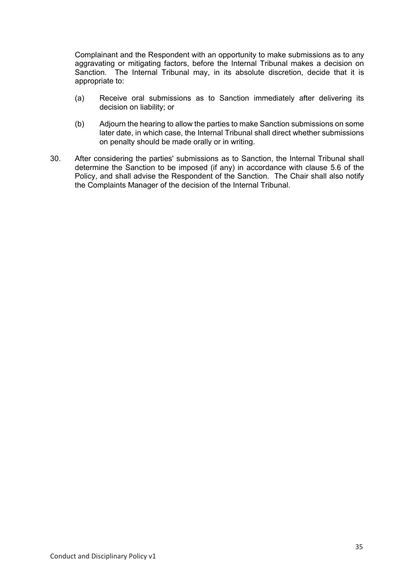Complainant and the Respondent with an opportunity to make submissions as to any aggravating or mitigating factors, before the Internal Tribunal makes a decision on Sanction. The Internal Tribunal may, in its absolute discretion, decide that it is appropriate to:

- (a) Receive oral submissions as to Sanction immediately after delivering its decision on liability; or
- (b) Adjourn the hearing to allow the parties to make Sanction submissions on some later date, in which case, the Internal Tribunal shall direct whether submissions on penalty should be made orally or in writing.
- 30. After considering the parties' submissions as to Sanction, the Internal Tribunal shall determine the Sanction to be imposed (if any) in accordance with clause 5.6 of the Policy, and shall advise the Respondent of the Sanction. The Chair shall also notify the Complaints Manager of the decision of the Internal Tribunal.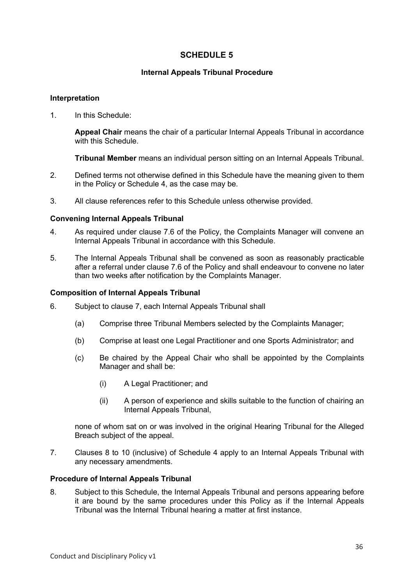## **SCHEDULE 5**

## **Internal Appeals Tribunal Procedure**

## **Interpretation**

1. In this Schedule:

**Appeal Chair** means the chair of a particular Internal Appeals Tribunal in accordance with this Schedule.

**Tribunal Member** means an individual person sitting on an Internal Appeals Tribunal.

- 2. Defined terms not otherwise defined in this Schedule have the meaning given to them in the Policy or Schedule 4, as the case may be.
- 3. All clause references refer to this Schedule unless otherwise provided.

## **Convening Internal Appeals Tribunal**

- 4. As required under clause 7.6 of the Policy, the Complaints Manager will convene an Internal Appeals Tribunal in accordance with this Schedule.
- 5. The Internal Appeals Tribunal shall be convened as soon as reasonably practicable after a referral under clause 7.6 of the Policy and shall endeavour to convene no later than two weeks after notification by the Complaints Manager.

#### **Composition of Internal Appeals Tribunal**

- 6. Subject to clause 7, each Internal Appeals Tribunal shall
	- (a) Comprise three Tribunal Members selected by the Complaints Manager;
	- (b) Comprise at least one Legal Practitioner and one Sports Administrator; and
	- (c) Be chaired by the Appeal Chair who shall be appointed by the Complaints Manager and shall be:
		- (i) A Legal Practitioner; and
		- (ii) A person of experience and skills suitable to the function of chairing an Internal Appeals Tribunal,

none of whom sat on or was involved in the original Hearing Tribunal for the Alleged Breach subject of the appeal.

7. Clauses 8 to 10 (inclusive) of Schedule 4 apply to an Internal Appeals Tribunal with any necessary amendments.

#### **Procedure of Internal Appeals Tribunal**

8. Subject to this Schedule, the Internal Appeals Tribunal and persons appearing before it are bound by the same procedures under this Policy as if the Internal Appeals Tribunal was the Internal Tribunal hearing a matter at first instance.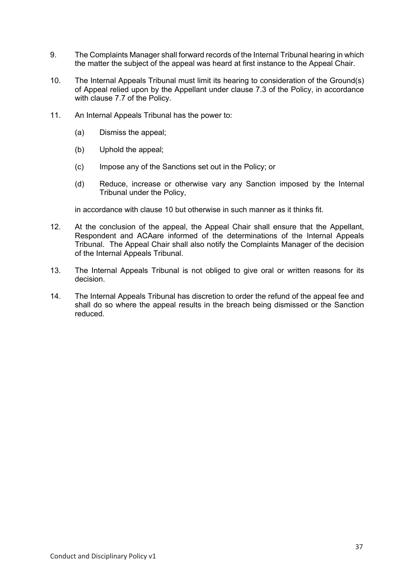- 9. The Complaints Manager shall forward records of the Internal Tribunal hearing in which the matter the subject of the appeal was heard at first instance to the Appeal Chair.
- 10. The Internal Appeals Tribunal must limit its hearing to consideration of the Ground(s) of Appeal relied upon by the Appellant under clause 7.3 of the Policy, in accordance with clause 7.7 of the Policy.
- 11. An Internal Appeals Tribunal has the power to:
	- (a) Dismiss the appeal;
	- (b) Uphold the appeal;
	- (c) Impose any of the Sanctions set out in the Policy; or
	- (d) Reduce, increase or otherwise vary any Sanction imposed by the Internal Tribunal under the Policy,

in accordance with clause 10 but otherwise in such manner as it thinks fit.

- 12. At the conclusion of the appeal, the Appeal Chair shall ensure that the Appellant, Respondent and ACAare informed of the determinations of the Internal Appeals Tribunal. The Appeal Chair shall also notify the Complaints Manager of the decision of the Internal Appeals Tribunal.
- 13. The Internal Appeals Tribunal is not obliged to give oral or written reasons for its decision.
- 14. The Internal Appeals Tribunal has discretion to order the refund of the appeal fee and shall do so where the appeal results in the breach being dismissed or the Sanction reduced.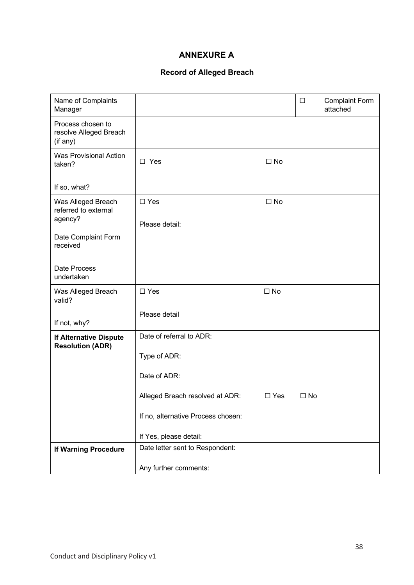# **ANNEXURE A**

## **Record of Alleged Breach**

| Name of Complaints<br>Manager                            |                                    |              | $\Box$       | <b>Complaint Form</b><br>attached |
|----------------------------------------------------------|------------------------------------|--------------|--------------|-----------------------------------|
| Process chosen to<br>resolve Alleged Breach<br>(if any)  |                                    |              |              |                                   |
| <b>Was Provisional Action</b><br>taken?                  | $\square$ Yes                      | $\square$ No |              |                                   |
| If so, what?                                             |                                    |              |              |                                   |
| Was Alleged Breach<br>referred to external<br>agency?    | $\square$ Yes                      | $\square$ No |              |                                   |
|                                                          | Please detail:                     |              |              |                                   |
| Date Complaint Form<br>received                          |                                    |              |              |                                   |
| Date Process<br>undertaken                               |                                    |              |              |                                   |
| Was Alleged Breach<br>valid?                             | $\Box$ Yes                         | $\square$ No |              |                                   |
| If not, why?                                             | Please detail                      |              |              |                                   |
| <b>If Alternative Dispute</b><br><b>Resolution (ADR)</b> | Date of referral to ADR:           |              |              |                                   |
|                                                          | Type of ADR:                       |              |              |                                   |
|                                                          | Date of ADR:                       |              |              |                                   |
|                                                          | Alleged Breach resolved at ADR:    | $\Box$ Yes   | $\square$ No |                                   |
|                                                          | If no, alternative Process chosen: |              |              |                                   |
|                                                          | If Yes, please detail:             |              |              |                                   |
| <b>If Warning Procedure</b>                              | Date letter sent to Respondent:    |              |              |                                   |
|                                                          | Any further comments:              |              |              |                                   |